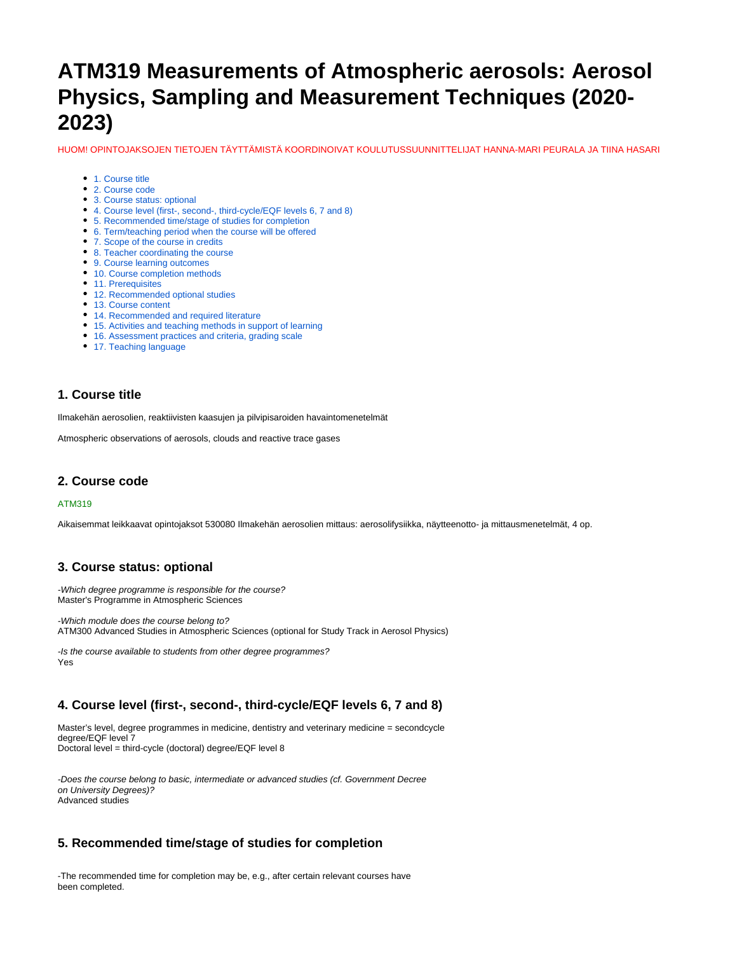# **ATM319 Measurements of Atmospheric aerosols: Aerosol Physics, Sampling and Measurement Techniques (2020- 2023)**

HUOM! OPINTOJAKSOJEN TIETOJEN TÄYTTÄMISTÄ KOORDINOIVAT KOULUTUSSUUNNITTELIJAT HANNA-MARI PEURALA JA TIINA HASARI

- [1. Course title](#page-0-0)
- [2. Course code](#page-0-1)
- [3. Course status: optional](#page-0-2)
- [4. Course level \(first-, second-, third-cycle/EQF levels 6, 7 and 8\)](#page-0-3)
- [5. Recommended time/stage of studies for completion](#page-0-4)
- [6. Term/teaching period when the course will be offered](#page-0-5)
- [7. Scope of the course in credits](#page-1-0)
- [8. Teacher coordinating the course](#page-1-1)
- [9. Course learning outcomes](#page-1-2) • [10. Course completion methods](#page-1-3)
- [11. Prerequisites](#page-1-4)
- [12. Recommended optional studies](#page-1-5)
- [13. Course content](#page-1-6)
- [14. Recommended and required literature](#page-1-7)
- [15. Activities and teaching methods in support of learning](#page-1-8)
- [16. Assessment practices and criteria, grading scale](#page-2-0)
- [17. Teaching language](#page-2-1)

#### <span id="page-0-0"></span>**1. Course title**

Ilmakehän aerosolien, reaktiivisten kaasujen ja pilvipisaroiden havaintomenetelmät

Atmospheric observations of aerosols, clouds and reactive trace gases

#### <span id="page-0-1"></span>**2. Course code**

#### ATM319

Aikaisemmat leikkaavat opintojaksot 530080 Ilmakehän aerosolien mittaus: aerosolifysiikka, näytteenotto- ja mittausmenetelmät, 4 op.

#### <span id="page-0-2"></span>**3. Course status: optional**

-Which degree programme is responsible for the course? Master's Programme in Atmospheric Sciences

-Which module does the course belong to? ATM300 Advanced Studies in Atmospheric Sciences (optional for Study Track in Aerosol Physics)

-Is the course available to students from other degree programmes? Yes

#### <span id="page-0-3"></span>**4. Course level (first-, second-, third-cycle/EQF levels 6, 7 and 8)**

Master's level, degree programmes in medicine, dentistry and veterinary medicine = secondcycle degree/EQF level 7 Doctoral level = third-cycle (doctoral) degree/EQF level 8

-Does the course belong to basic, intermediate or advanced studies (cf. Government Decree on University Degrees)? Advanced studies

#### <span id="page-0-4"></span>**5. Recommended time/stage of studies for completion**

<span id="page-0-5"></span>-The recommended time for completion may be, e.g., after certain relevant courses have been completed.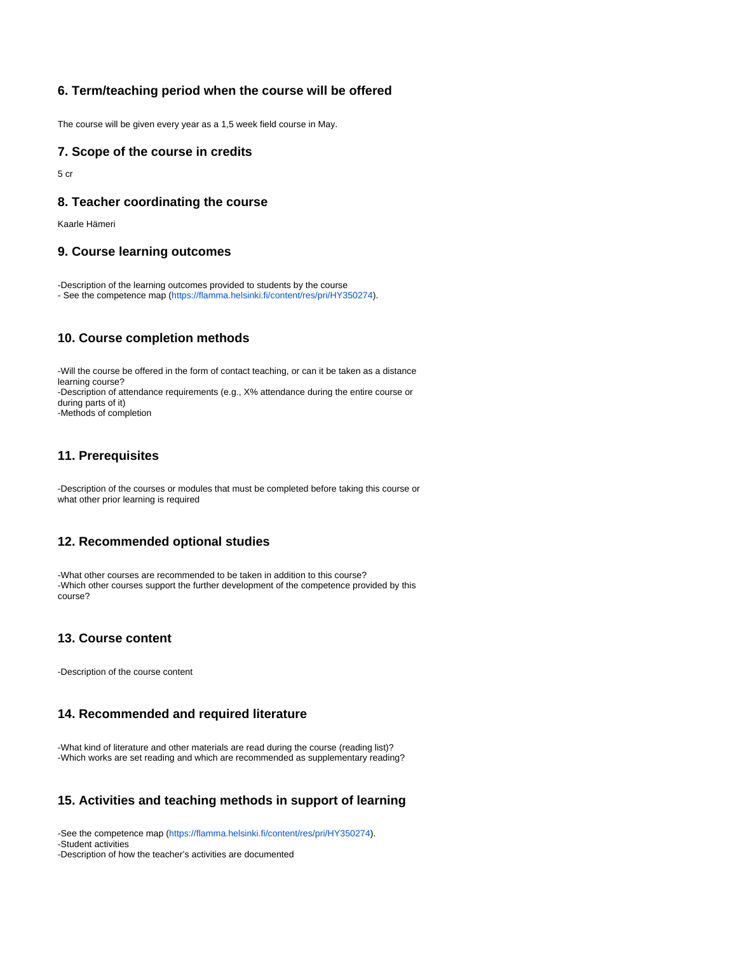### **6. Term/teaching period when the course will be offered**

The course will be given every year as a 1,5 week field course in May.

#### <span id="page-1-0"></span>**7. Scope of the course in credits**

5 cr

#### <span id="page-1-1"></span>**8. Teacher coordinating the course**

Kaarle Hämeri

#### <span id="page-1-2"></span>**9. Course learning outcomes**

-Description of the learning outcomes provided to students by the course - See the competence map ([https://flamma.helsinki.fi/content/res/pri/HY350274\)](https://flamma.helsinki.fi/content/res/pri/HY350274).

# <span id="page-1-3"></span>**10. Course completion methods**

-Will the course be offered in the form of contact teaching, or can it be taken as a distance learning course? -Description of attendance requirements (e.g., X% attendance during the entire course or during parts of it) -Methods of completion

#### <span id="page-1-4"></span>**11. Prerequisites**

-Description of the courses or modules that must be completed before taking this course or what other prior learning is required

#### <span id="page-1-5"></span>**12. Recommended optional studies**

-What other courses are recommended to be taken in addition to this course? -Which other courses support the further development of the competence provided by this course?

## <span id="page-1-6"></span>**13. Course content**

-Description of the course content

#### <span id="page-1-7"></span>**14. Recommended and required literature**

-What kind of literature and other materials are read during the course (reading list)? -Which works are set reading and which are recommended as supplementary reading?

#### <span id="page-1-8"></span>**15. Activities and teaching methods in support of learning**

-See the competence map ([https://flamma.helsinki.fi/content/res/pri/HY350274\)](https://flamma.helsinki.fi/content/res/pri/HY350274).

-Student activities

-Description of how the teacher's activities are documented